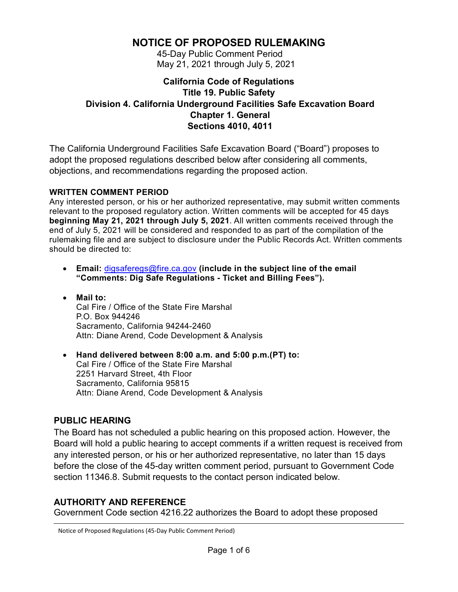# **NOTICE OF PROPOSED RULEMAKING**

45-Day Public Comment Period May 21, 2021 through July 5, 2021

### **California Code of Regulations Title 19. Public Safety Division 4. California Underground Facilities Safe Excavation Board Chapter 1. General Sections 4010, 4011**

The California Underground Facilities Safe Excavation Board ("Board") proposes to adopt the proposed regulations described below after considering all comments, objections, and recommendations regarding the proposed action.

#### **WRITTEN COMMENT PERIOD**

Any interested person, or his or her authorized representative, may submit written comments relevant to the proposed regulatory action. Written comments will be accepted for 45 days **beginning May 21, 2021 through July 5, 2021**. All written comments received through the end of July 5, 2021 will be considered and responded to as part of the compilation of the rulemaking file and are subject to disclosure under the Public Records Act. Written comments should be directed to:

- **Email:** [digsaferegs@fire.ca.gov](mailto:digsaferegs@fire.ca.gov) **(include in the subject line of the email "Comments: Dig Safe Regulations - Ticket and Billing Fees").**
- **Mail to:** Cal Fire / Office of the State Fire Marshal P.O. Box 944246 Sacramento, California 94244-2460 Attn: Diane Arend, Code Development & Analysis
- **Hand delivered between 8:00 a.m. and 5:00 p.m.(PT) to:** Cal Fire / Office of the State Fire Marshal 2251 Harvard Street, 4th Floor Sacramento, California 95815 Attn: Diane Arend, Code Development & Analysis

## **PUBLIC HEARING**

The Board has not scheduled a public hearing on this proposed action. However, the Board will hold a public hearing to accept comments if a written request is received from any interested person, or his or her authorized representative, no later than 15 days before the close of the 45-day written comment period, pursuant to Government Code section 11346.8. Submit requests to the contact person indicated below.

## **AUTHORITY AND REFERENCE**

Government Code section 4216.22 authorizes the Board to adopt these proposed

Notice of Proposed Regulations (45-Day Public Comment Period)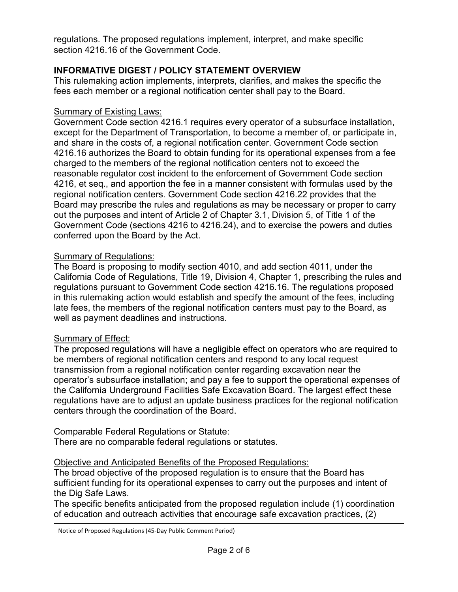regulations. The proposed regulations implement, interpret, and make specific section 4216.16 of the Government Code.

### **INFORMATIVE DIGEST / POLICY STATEMENT OVERVIEW**

This rulemaking action implements, interprets, clarifies, and makes the specific the fees each member or a regional notification center shall pay to the Board.

#### Summary of Existing Laws:

Government Code section 4216.1 requires every operator of a subsurface installation, except for the Department of Transportation, to become a member of, or participate in, and share in the costs of, a regional notification center. Government Code section 4216.16 authorizes the Board to obtain funding for its operational expenses from a fee charged to the members of the regional notification centers not to exceed the reasonable regulator cost incident to the enforcement of Government Code section 4216, et seq., and apportion the fee in a manner consistent with formulas used by the regional notification centers. Government Code section 4216.22 provides that the Board may prescribe the rules and regulations as may be necessary or proper to carry out the purposes and intent of Article 2 of Chapter 3.1, Division 5, of Title 1 of the Government Code (sections 4216 to 4216.24), and to exercise the powers and duties conferred upon the Board by the Act.

#### **Summary of Regulations:**

The Board is proposing to modify section 4010, and add section 4011, under the California Code of Regulations, Title 19, Division 4, Chapter 1, prescribing the rules and regulations pursuant to Government Code section 4216.16. The regulations proposed in this rulemaking action would establish and specify the amount of the fees, including late fees, the members of the regional notification centers must pay to the Board, as well as payment deadlines and instructions.

#### **Summary of Effect:**

The proposed regulations will have a negligible effect on operators who are required to be members of regional notification centers and respond to any local request transmission from a regional notification center regarding excavation near the operator's subsurface installation; and pay a fee to support the operational expenses of the California Underground Facilities Safe Excavation Board. The largest effect these regulations have are to adjust an update business practices for the regional notification centers through the coordination of the Board.

#### Comparable Federal Regulations or Statute:

There are no comparable federal regulations or statutes.

#### Objective and Anticipated Benefits of the Proposed Regulations:

The broad objective of the proposed regulation is to ensure that the Board has sufficient funding for its operational expenses to carry out the purposes and intent of the Dig Safe Laws.

The specific benefits anticipated from the proposed regulation include (1) coordination of education and outreach activities that encourage safe excavation practices, (2)

Notice of Proposed Regulations (45-Day Public Comment Period)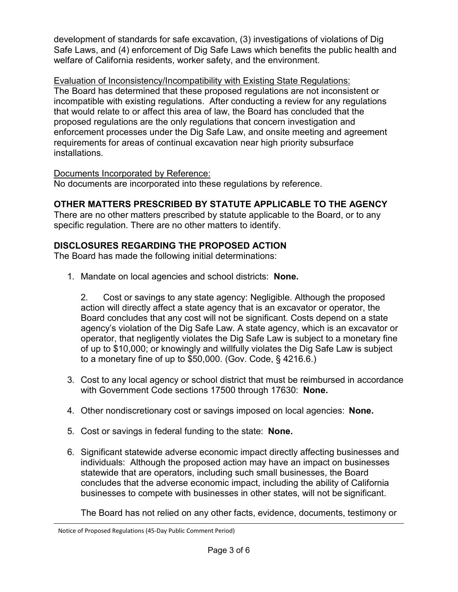development of standards for safe excavation, (3) investigations of violations of Dig Safe Laws, and (4) enforcement of Dig Safe Laws which benefits the public health and welfare of California residents, worker safety, and the environment.

Evaluation of Inconsistency/Incompatibility with Existing State Regulations: The Board has determined that these proposed regulations are not inconsistent or incompatible with existing regulations. After conducting a review for any regulations that would relate to or affect this area of law, the Board has concluded that the proposed regulations are the only regulations that concern investigation and enforcement processes under the Dig Safe Law, and onsite meeting and agreement requirements for areas of continual excavation near high priority subsurface installations.

#### Documents Incorporated by Reference:

No documents are incorporated into these regulations by reference.

### **OTHER MATTERS PRESCRIBED BY STATUTE APPLICABLE TO THE AGENCY**

There are no other matters prescribed by statute applicable to the Board, or to any specific regulation. There are no other matters to identify.

#### **DISCLOSURES REGARDING THE PROPOSED ACTION**

The Board has made the following initial determinations:

1. Mandate on local agencies and school districts: **None.**

2. Cost or savings to any state agency: Negligible. Although the proposed action will directly affect a state agency that is an excavator or operator, the Board concludes that any cost will not be significant. Costs depend on a state agency's violation of the Dig Safe Law. A state agency, which is an excavator or operator, that negligently violates the Dig Safe Law is subject to a monetary fine of up to \$10,000; or knowingly and willfully violates the Dig Safe Law is subject to a monetary fine of up to \$50,000. (Gov. Code, § 4216.6.)

- 3. Cost to any local agency or school district that must be reimbursed in accordance with Government Code sections 17500 through 17630: **None.**
- 4. Other nondiscretionary cost or savings imposed on local agencies: **None.**
- 5. Cost or savings in federal funding to the state: **None.**
- 6. Significant statewide adverse economic impact directly affecting businesses and individuals: Although the proposed action may have an impact on businesses statewide that are operators, including such small businesses, the Board concludes that the adverse economic impact, including the ability of California businesses to compete with businesses in other states, will not be significant.

The Board has not relied on any other facts, evidence, documents, testimony or

Notice of Proposed Regulations (45-Day Public Comment Period)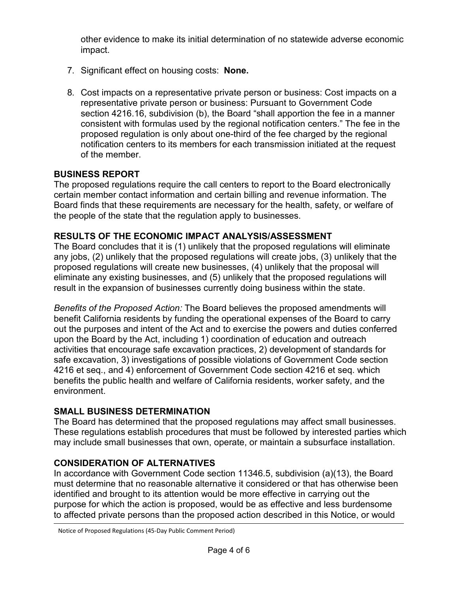other evidence to make its initial determination of no statewide adverse economic impact.

- 7. Significant effect on housing costs: **None.**
- 8. Cost impacts on a representative private person or business: Cost impacts on a representative private person or business: Pursuant to Government Code section 4216.16, subdivision (b), the Board "shall apportion the fee in a manner consistent with formulas used by the regional notification centers." The fee in the proposed regulation is only about one-third of the fee charged by the regional notification centers to its members for each transmission initiated at the request of the member.

### **BUSINESS REPORT**

The proposed regulations require the call centers to report to the Board electronically certain member contact information and certain billing and revenue information. The Board finds that these requirements are necessary for the health, safety, or welfare of the people of the state that the regulation apply to businesses.

### **RESULTS OF THE ECONOMIC IMPACT ANALYSIS/ASSESSMENT**

The Board concludes that it is (1) unlikely that the proposed regulations will eliminate any jobs, (2) unlikely that the proposed regulations will create jobs, (3) unlikely that the proposed regulations will create new businesses, (4) unlikely that the proposal will eliminate any existing businesses, and (5) unlikely that the proposed regulations will result in the expansion of businesses currently doing business within the state.

*Benefits of the Proposed Action:* The Board believes the proposed amendments will benefit California residents by funding the operational expenses of the Board to carry out the purposes and intent of the Act and to exercise the powers and duties conferred upon the Board by the Act, including 1) coordination of education and outreach activities that encourage safe excavation practices, 2) development of standards for safe excavation, 3) investigations of possible violations of Government Code section 4216 et seq., and 4) enforcement of Government Code section 4216 et seq. which benefits the public health and welfare of California residents, worker safety, and the environment.

## **SMALL BUSINESS DETERMINATION**

The Board has determined that the proposed regulations may affect small businesses. These regulations establish procedures that must be followed by interested parties which may include small businesses that own, operate, or maintain a subsurface installation.

## **CONSIDERATION OF ALTERNATIVES**

In accordance with Government Code section 11346.5, subdivision (a)(13), the Board must determine that no reasonable alternative it considered or that has otherwise been identified and brought to its attention would be more effective in carrying out the purpose for which the action is proposed, would be as effective and less burdensome to affected private persons than the proposed action described in this Notice, or would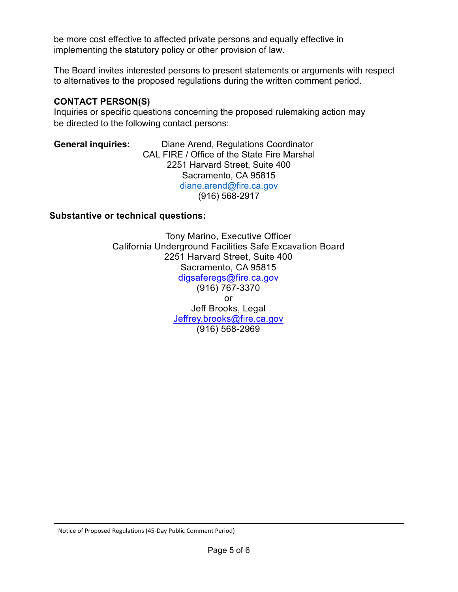be more cost effective to affected private persons and equally effective in implementing the statutory policy or other provision of law.

The Board invites interested persons to present statements or arguments with respect to alternatives to the proposed regulations during the written comment period.

### **CONTACT PERSON(S)**

Inquiries or specific questions concerning the proposed rulemaking action may be directed to the following contact persons:

#### **General inquiries:** Diane Arend, Regulations Coordinator CAL FIRE / Office of the State Fire Marshal 2251 Harvard Street, Suite 400 Sacramento, CA 95815 [diane.arend@fire.ca.gov](mailto:diane.arend@fire.ca.gov) (916) 568-2917

#### **Substantive or technical questions:**

Tony Marino, Executive Officer California Underground Facilities Safe Excavation Board 2251 Harvard Street, Suite 400 Sacramento, CA 95815 [digsaferegs@fire.ca.gov](mailto:digsaferegs@fire.ca.gov) (916) 767-3370 or Jeff Brooks, Legal [Jeffrey.brooks@fire.ca.gov](mailto:Jeffrey.brooks@fire.ca.gov) (916) 568-2969

Notice of Proposed Regulations (45-Day Public Comment Period)